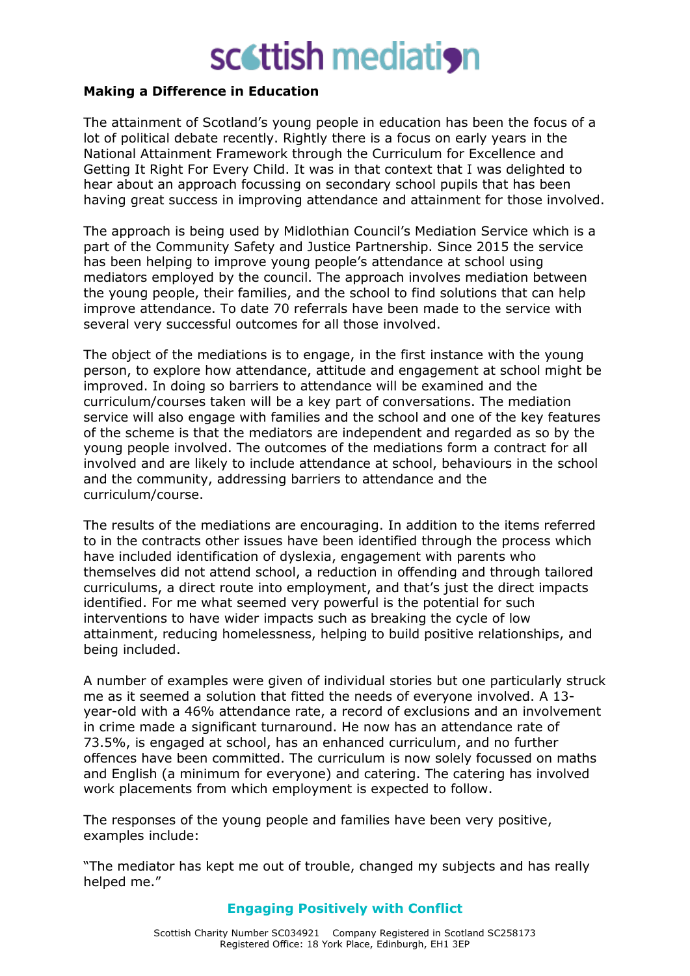# scottish mediation

#### **Making a Difference in Education**

The attainment of Scotland's young people in education has been the focus of a lot of political debate recently. Rightly there is a focus on early years in the National Attainment Framework through the Curriculum for Excellence and Getting It Right For Every Child. It was in that context that I was delighted to hear about an approach focussing on secondary school pupils that has been having great success in improving attendance and attainment for those involved.

The approach is being used by Midlothian Council's Mediation Service which is a part of the Community Safety and Justice Partnership. Since 2015 the service has been helping to improve young people's attendance at school using mediators employed by the council. The approach involves mediation between the young people, their families, and the school to find solutions that can help improve attendance. To date 70 referrals have been made to the service with several very successful outcomes for all those involved.

The object of the mediations is to engage, in the first instance with the young person, to explore how attendance, attitude and engagement at school might be improved. In doing so barriers to attendance will be examined and the curriculum/courses taken will be a key part of conversations. The mediation service will also engage with families and the school and one of the key features of the scheme is that the mediators are independent and regarded as so by the young people involved. The outcomes of the mediations form a contract for all involved and are likely to include attendance at school, behaviours in the school and the community, addressing barriers to attendance and the curriculum/course.

The results of the mediations are encouraging. In addition to the items referred to in the contracts other issues have been identified through the process which have included identification of dyslexia, engagement with parents who themselves did not attend school, a reduction in offending and through tailored curriculums, a direct route into employment, and that's just the direct impacts identified. For me what seemed very powerful is the potential for such interventions to have wider impacts such as breaking the cycle of low attainment, reducing homelessness, helping to build positive relationships, and being included.

A number of examples were given of individual stories but one particularly struck me as it seemed a solution that fitted the needs of everyone involved. A 13 year-old with a 46% attendance rate, a record of exclusions and an involvement in crime made a significant turnaround. He now has an attendance rate of 73.5%, is engaged at school, has an enhanced curriculum, and no further offences have been committed. The curriculum is now solely focussed on maths and English (a minimum for everyone) and catering. The catering has involved work placements from which employment is expected to follow.

The responses of the young people and families have been very positive, examples include:

"The mediator has kept me out of trouble, changed my subjects and has really helped me."

### **Engaging Positively with Conflict**